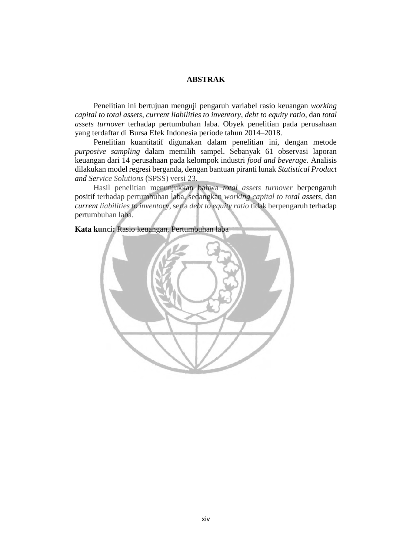## **ABSTRAK**

Penelitian ini bertujuan menguji pengaruh variabel rasio keuangan *working capital to total assets*, *current liabilities to inventory*, *debt to equity ratio*, dan *total assets turnover* terhadap pertumbuhan laba. Obyek penelitian pada perusahaan yang terdaftar di Bursa Efek Indonesia periode tahun 2014–2018.

 Penelitian kuantitatif digunakan dalam penelitian ini, dengan metode *purposive sampling* dalam memilih sampel. Sebanyak 61 observasi laporan keuangan dari 14 perusahaan pada kelompok industri *food and beverage*. Analisis dilakukan model regresi berganda, dengan bantuan piranti lunak *Statistical Product and Service Solutions* (SPSS) versi 23.

 Hasil penelitian menunjukkan bahwa *total assets turnover* berpengaruh positif terhadap pertumbuhan laba, sedangkan *working capital to total assets,* dan *current liabilities to inventory,* serta *debt to equity ratio* tidak berpengaruh terhadap pertumbuhan laba.

**Kata kunci:** Rasio keuangan, Pertumbuhan laba